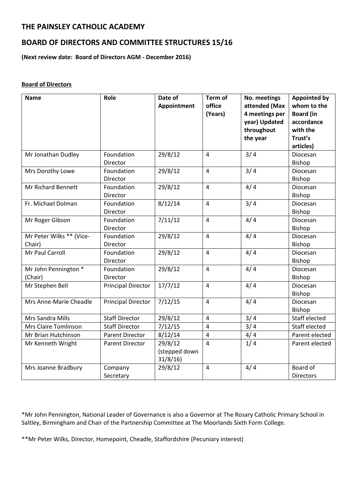# **THE PAINSLEY CATHOLIC ACADEMY**

# **BOARD OF DIRECTORS AND COMMITTEE STRUCTURES 15/16**

**(Next review date: Board of Directors AGM - December 2016)**

#### **Board of Directors**

| <b>Name</b>                        | Role                      | Date of<br>Appointment              | Term of<br>office<br>(Years) | No. meetings<br>attended (Max<br>4 meetings per<br>year) Updated<br>throughout<br>the year | <b>Appointed by</b><br>whom to the<br><b>Board (in</b><br>accordance<br>with the<br>Trust's<br>articles) |
|------------------------------------|---------------------------|-------------------------------------|------------------------------|--------------------------------------------------------------------------------------------|----------------------------------------------------------------------------------------------------------|
| Mr Jonathan Dudley                 | Foundation<br>Director    | 29/8/12                             | $\overline{4}$               | 3/4                                                                                        | Diocesan<br>Bishop                                                                                       |
| Mrs Dorothy Lowe                   | Foundation<br>Director    | 29/8/12                             | $\overline{\mathbf{4}}$      | 3/4                                                                                        | Diocesan<br>Bishop                                                                                       |
| <b>Mr Richard Bennett</b>          | Foundation<br>Director    | 29/8/12                             | $\overline{4}$               | 4/4                                                                                        | Diocesan<br>Bishop                                                                                       |
| Fr. Michael Dolman                 | Foundation<br>Director    | 8/12/14                             | $\overline{4}$               | 3/4                                                                                        | Diocesan<br>Bishop                                                                                       |
| Mr Roger Gibson                    | Foundation<br>Director    | 7/11/12                             | $\overline{4}$               | 4/4                                                                                        | Diocesan<br>Bishop                                                                                       |
| Mr Peter Wilks ** (Vice-<br>Chair) | Foundation<br>Director    | 29/8/12                             | $\overline{4}$               | 4/4                                                                                        | Diocesan<br>Bishop                                                                                       |
| Mr Paul Carroll                    | Foundation<br>Director    | 29/8/12                             | $\overline{4}$               | 4/4                                                                                        | Diocesan<br>Bishop                                                                                       |
| Mr John Pennington *<br>(Chair)    | Foundation<br>Director    | 29/8/12                             | $\overline{4}$               | 4/4                                                                                        | Diocesan<br>Bishop                                                                                       |
| Mr Stephen Bell                    | <b>Principal Director</b> | 17/7/12                             | $\overline{4}$               | 4/4                                                                                        | Diocesan<br>Bishop                                                                                       |
| Mrs Anne-Marie Cheadle             | <b>Principal Director</b> | 7/12/15                             | $\overline{4}$               | 4/4                                                                                        | Diocesan<br>Bishop                                                                                       |
| Mrs Sandra Mills                   | <b>Staff Director</b>     | 29/8/12                             | $\overline{4}$               | 3/4                                                                                        | Staff elected                                                                                            |
| Mrs Claire Tomlinson               | <b>Staff Director</b>     | 7/12/15                             | $\overline{4}$               | 3/4                                                                                        | Staff elected                                                                                            |
| Mr Brian Hutchinson                | <b>Parent Director</b>    | 8/12/14                             | 4                            | 4/4                                                                                        | Parent elected                                                                                           |
| Mr Kenneth Wright                  | <b>Parent Director</b>    | 29/8/12<br>(stepped down<br>31/8/16 | $\overline{4}$               | 1/4                                                                                        | Parent elected                                                                                           |
| Mrs Joanne Bradbury                | Company<br>Secretary      | 29/8/12                             | $\overline{4}$               | 4/4                                                                                        | Board of<br><b>Directors</b>                                                                             |

\*Mr John Pennington, National Leader of Governance is also a Governor at The Rosary Catholic Primary School in Saltley, Birmingham and Chair of the Partnership Committee at The Moorlands Sixth Form College.

\*\*Mr Peter Wilks, Director, Homepoint, Cheadle, Staffordshire (Pecuniary interest)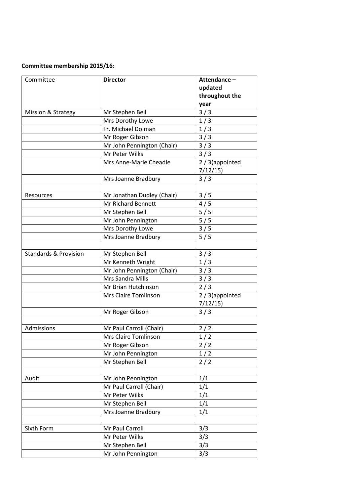## **Committee membership 2015/16:**

| Committee                        | <b>Director</b>            | Attendance-<br>updated<br>throughout the<br>year |  |
|----------------------------------|----------------------------|--------------------------------------------------|--|
| Mission & Strategy               | Mr Stephen Bell            | 3/3                                              |  |
|                                  | Mrs Dorothy Lowe           | 1/3                                              |  |
|                                  | Fr. Michael Dolman         | 1/3                                              |  |
|                                  | Mr Roger Gibson            | 3/3                                              |  |
|                                  | Mr John Pennington (Chair) | 3/3                                              |  |
|                                  | Mr Peter Wilks             | 3/3                                              |  |
|                                  | Mrs Anne-Marie Cheadle     | 2 / 3(appointed<br>7/12/15                       |  |
|                                  | Mrs Joanne Bradbury        | 3/3                                              |  |
| Resources                        | Mr Jonathan Dudley (Chair) | 3/5                                              |  |
|                                  | Mr Richard Bennett         | 4/5                                              |  |
|                                  | Mr Stephen Bell            | 5/5                                              |  |
|                                  | Mr John Pennington         | 5/5                                              |  |
|                                  | Mrs Dorothy Lowe           | 3/5                                              |  |
|                                  | Mrs Joanne Bradbury        | 5/5                                              |  |
|                                  |                            |                                                  |  |
| <b>Standards &amp; Provision</b> | Mr Stephen Bell            | 3/3                                              |  |
|                                  | Mr Kenneth Wright          | 1/3                                              |  |
|                                  | Mr John Pennington (Chair) | 3/3                                              |  |
|                                  | Mrs Sandra Mills           | 3/3                                              |  |
|                                  | Mr Brian Hutchinson        | 2/3                                              |  |
|                                  | Mrs Claire Tomlinson       | 2 / 3(appointed<br>7/12/15                       |  |
|                                  | Mr Roger Gibson            | 3/3                                              |  |
|                                  |                            |                                                  |  |
| Admissions                       | Mr Paul Carroll (Chair)    | 2/2                                              |  |
|                                  | Mrs Claire Tomlinson       | 1/2                                              |  |
|                                  | Mr Roger Gibson            | 2/2                                              |  |
|                                  | Mr John Pennington         | 1/2                                              |  |
|                                  | Mr Stephen Bell            | 2/2                                              |  |
|                                  |                            |                                                  |  |
| Audit                            | Mr John Pennington         | 1/1                                              |  |
|                                  | Mr Paul Carroll (Chair)    | 1/1                                              |  |
|                                  | Mr Peter Wilks             | 1/1                                              |  |
|                                  | Mr Stephen Bell            | 1/1                                              |  |
|                                  | Mrs Joanne Bradbury        | 1/1                                              |  |
|                                  |                            |                                                  |  |
| Sixth Form                       | Mr Paul Carroll            | 3/3                                              |  |
|                                  | Mr Peter Wilks             | 3/3                                              |  |
|                                  | Mr Stephen Bell            | 3/3                                              |  |
|                                  | Mr John Pennington         | 3/3                                              |  |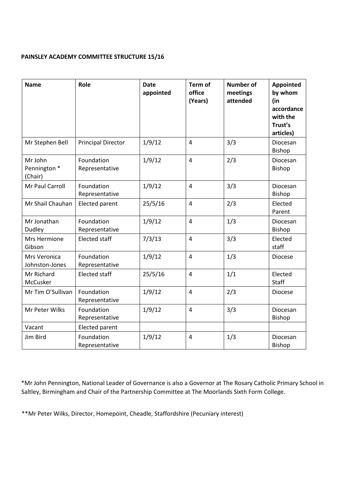#### **PAINSLEY ACADEMY COMMITTEE STRUCTURE 15/16**

| <b>Name</b>                        | Role                         | <b>Date</b><br>appointed | Term of<br>office<br>(Years) | <b>Number of</b><br>meetings<br>attended | <b>Appointed</b><br>by whom<br>(in<br>accordance<br>with the<br>Trust's<br>articles) |
|------------------------------------|------------------------------|--------------------------|------------------------------|------------------------------------------|--------------------------------------------------------------------------------------|
| Mr Stephen Bell                    | <b>Principal Director</b>    | 1/9/12                   | $\overline{4}$               | 3/3                                      | <b>Diocesan</b><br>Bishop                                                            |
| Mr John<br>Pennington *<br>(Chair) | Foundation<br>Representative | 1/9/12                   | $\overline{4}$               | 2/3                                      | Diocesan<br><b>Bishop</b>                                                            |
| Mr Paul Carroll                    | Foundation<br>Representative | 1/9/12                   | $\overline{4}$               | 3/3                                      | Diocesan<br>Bishop                                                                   |
| Mr Shail Chauhan                   | Elected parent               | 25/5/16                  | $\overline{4}$               | 2/3                                      | Elected<br>Parent                                                                    |
| Mr Jonathan<br>Dudley              | Foundation<br>Representative | 1/9/12                   | $\overline{4}$               | 1/3                                      | Diocesan<br>Bishop                                                                   |
| Mrs Hermione<br>Gibson             | <b>Elected staff</b>         | 7/3/13                   | $\overline{4}$               | 3/3                                      | Elected<br>staff                                                                     |
| Mrs Veronica<br>Johnston-Jones     | Foundation<br>Representative | 1/9/12                   | $\overline{4}$               | 1/3                                      | <b>Diocese</b>                                                                       |
| Mr Richard<br>McCusker             | <b>Elected staff</b>         | 25/5/16                  | $\overline{4}$               | 1/1                                      | Elected<br>Staff                                                                     |
| Mr Tim O'Sullivan                  | Foundation<br>Representative | 1/9/12                   | $\overline{4}$               | 2/3                                      | <b>Diocese</b>                                                                       |
| Mr Peter Wilks                     | Foundation<br>Representative | 1/9/12                   | $\overline{4}$               | 3/3                                      | Diocesan<br><b>Bishop</b>                                                            |
| Vacant                             | Elected parent               |                          |                              |                                          |                                                                                      |
| Jim Bird                           | Foundation<br>Representative | 1/9/12                   | $\overline{4}$               | 1/3                                      | Diocesan<br>Bishop                                                                   |

\*Mr John Pennington, National Leader of Governance is also a Governor at The Rosary Catholic Primary School in Saltley, Birmingham and Chair of the Partnership Committee at The Moorlands Sixth Form College.

\*\*Mr Peter Wilks, Director, Homepoint, Cheadle, Staffordshire (Pecuniary interest)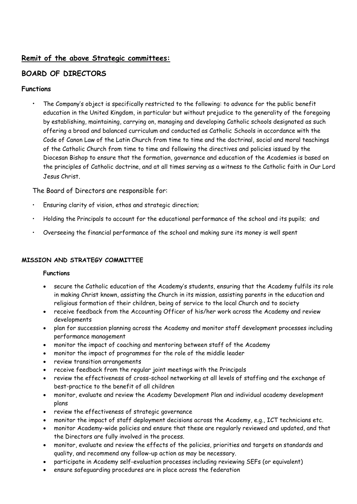# **Remit of the above Strategic committees:**

# **BOARD OF DIRECTORS**

## **Functions**

• The Company's object is specifically restricted to the following: to advance for the public benefit education in the United Kingdom, in particular but without prejudice to the generality of the foregoing by establishing, maintaining, carrying on, managing and developing Catholic schools designated as such offering a broad and balanced curriculum and conducted as Catholic Schools in accordance with the Code of Canon Law of the Latin Church from time to time and the doctrinal, social and moral teachings of the Catholic Church from time to time and following the directives and policies issued by the Diocesan Bishop to ensure that the formation, governance and education of the Academies is based on the principles of Catholic doctrine, and at all times serving as a witness to the Catholic faith in Our Lord Jesus Christ.

The Board of Directors are responsible for:

- Ensuring clarity of vision, ethos and strategic direction;
- Holding the Principals to account for the educational performance of the school and its pupils; and
- Overseeing the financial performance of the school and making sure its money is well spent

## **MISSION AND STRATEGY COMMITTEE**

## **Functions**

- secure the Catholic education of the Academy's students, ensuring that the Academy fulfils its role in making Christ known, assisting the Church in its mission, assisting parents in the education and religious formation of their children, being of service to the local Church and to society
- receive feedback from the Accounting Officer of his/her work across the Academy and review developments
- plan for succession planning across the Academy and monitor staff development processes including performance management
- monitor the impact of coaching and mentoring between staff of the Academy
- monitor the impact of programmes for the role of the middle leader
- review transition arrangements
- receive feedback from the regular joint meetings with the Principals
- review the effectiveness of cross-school networking at all levels of staffing and the exchange of best-practice to the benefit of all children
- monitor, evaluate and review the Academy Development Plan and individual academy development plans
- review the effectiveness of strategic governance
- monitor the impact of staff deployment decisions across the Academy, e.g., ICT technicians etc.
- monitor Academy-wide policies and ensure that these are regularly reviewed and updated, and that the Directors are fully involved in the process.
- monitor, evaluate and review the effects of the policies, priorities and targets on standards and quality, and recommend any follow-up action as may be necessary.
- participate in Academy self-evaluation processes including reviewing SEFs (or equivalent)
- ensure safeguarding procedures are in place across the federation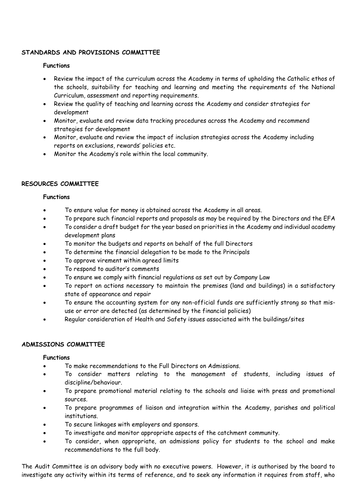#### **STANDARDS AND PROVISIONS COMMITTEE**

#### **Functions**

- Review the impact of the curriculum across the Academy in terms of upholding the Catholic ethos of the schools, suitability for teaching and learning and meeting the requirements of the National Curriculum, assessment and reporting requirements.
- Review the quality of teaching and learning across the Academy and consider strategies for development
- Monitor, evaluate and review data tracking procedures across the Academy and recommend strategies for development
- Monitor, evaluate and review the impact of inclusion strategies across the Academy including reports on exclusions, rewards' policies etc.
- Monitor the Academy's role within the local community.

#### **RESOURCES COMMITTEE**

#### **Functions**

- To ensure value for money is obtained across the Academy in all areas.
- To prepare such financial reports and proposals as may be required by the Directors and the EFA
- To consider a draft budget for the year based on priorities in the Academy and individual academy development plans
- To monitor the budgets and reports on behalf of the full Directors
- To determine the financial delegation to be made to the Principals
- To approve virement within agreed limits
- To respond to auditor's comments
- To ensure we comply with financial regulations as set out by Company Law
- To report on actions necessary to maintain the premises (land and buildings) in a satisfactory state of appearance and repair
- To ensure the accounting system for any non-official funds are sufficiently strong so that misuse or error are detected (as determined by the financial policies)
- Regular consideration of Health and Safety issues associated with the buildings/sites

## **ADMISSIONS COMMITTEE**

## **Functions**

- To make recommendations to the Full Directors on Admissions.
- To consider matters relating to the management of students, including issues of discipline/behaviour.
- To prepare promotional material relating to the schools and liaise with press and promotional sources.
- To prepare programmes of liaison and integration within the Academy, parishes and political institutions.
- To secure linkages with employers and sponsors.
- To investigate and monitor appropriate aspects of the catchment community.
- To consider, when appropriate, an admissions policy for students to the school and make recommendations to the full body.

The Audit Committee is an advisory body with no executive powers. However, it is authorised by the board to investigate any activity within its terms of reference, and to seek any information it requires from staff, who